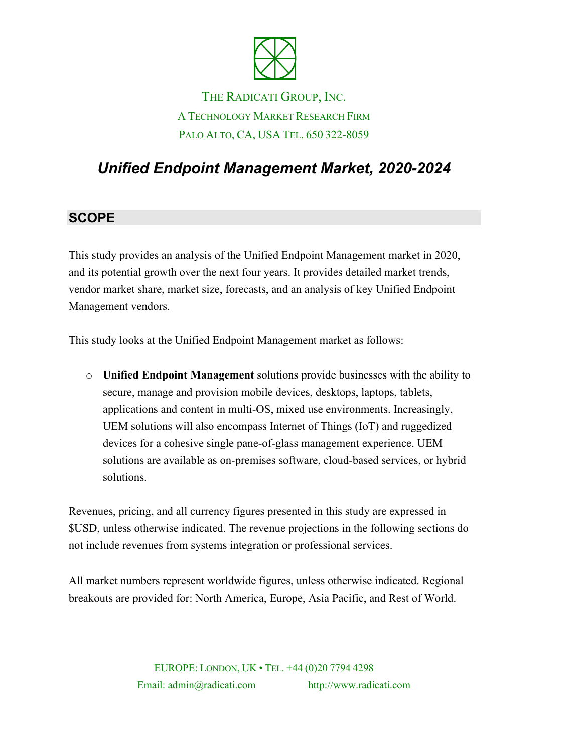

# THE RADICATI GROUP, INC. A TECHNOLOGY MARKET RESEARCH FIRM PALO ALTO, CA, USA TEL. 650 322-8059

# *Unified Endpoint Management Market, 2020-2024*

### **SCOPE**

This study provides an analysis of the Unified Endpoint Management market in 2020, and its potential growth over the next four years. It provides detailed market trends, vendor market share, market size, forecasts, and an analysis of key Unified Endpoint Management vendors.

This study looks at the Unified Endpoint Management market as follows:

o **Unified Endpoint Management** solutions provide businesses with the ability to secure, manage and provision mobile devices, desktops, laptops, tablets, applications and content in multi-OS, mixed use environments. Increasingly, UEM solutions will also encompass Internet of Things (IoT) and ruggedized devices for a cohesive single pane-of-glass management experience. UEM solutions are available as on-premises software, cloud-based services, or hybrid solutions.

Revenues, pricing, and all currency figures presented in this study are expressed in \$USD, unless otherwise indicated. The revenue projections in the following sections do not include revenues from systems integration or professional services.

All market numbers represent worldwide figures, unless otherwise indicated. Regional breakouts are provided for: North America, Europe, Asia Pacific, and Rest of World.

> EUROPE: LONDON, UK • TEL. +44 (0)20 7794 4298 Email: admin@radicati.com http://www.radicati.com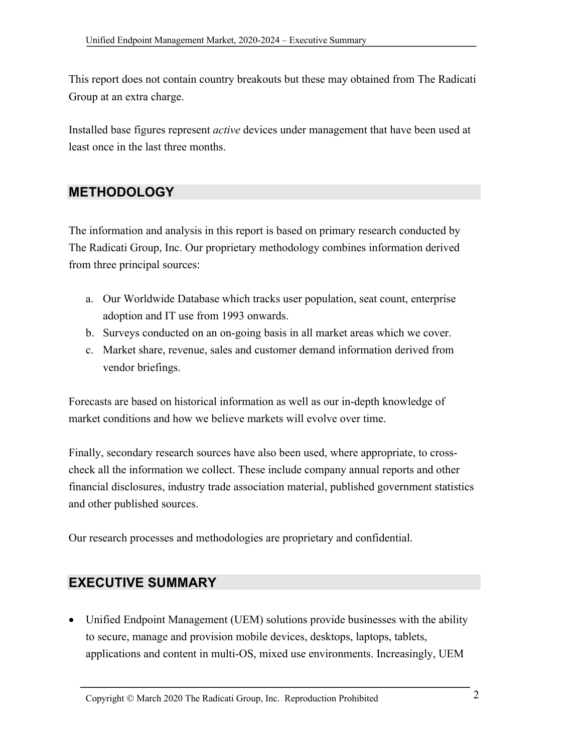This report does not contain country breakouts but these may obtained from The Radicati Group at an extra charge.

Installed base figures represent *active* devices under management that have been used at least once in the last three months.

### **METHODOLOGY**

The information and analysis in this report is based on primary research conducted by The Radicati Group, Inc. Our proprietary methodology combines information derived from three principal sources:

- a. Our Worldwide Database which tracks user population, seat count, enterprise adoption and IT use from 1993 onwards.
- b. Surveys conducted on an on-going basis in all market areas which we cover.
- c. Market share, revenue, sales and customer demand information derived from vendor briefings.

Forecasts are based on historical information as well as our in-depth knowledge of market conditions and how we believe markets will evolve over time.

Finally, secondary research sources have also been used, where appropriate, to crosscheck all the information we collect. These include company annual reports and other financial disclosures, industry trade association material, published government statistics and other published sources.

Our research processes and methodologies are proprietary and confidential.

### **EXECUTIVE SUMMARY**

• Unified Endpoint Management (UEM) solutions provide businesses with the ability to secure, manage and provision mobile devices, desktops, laptops, tablets, applications and content in multi-OS, mixed use environments. Increasingly, UEM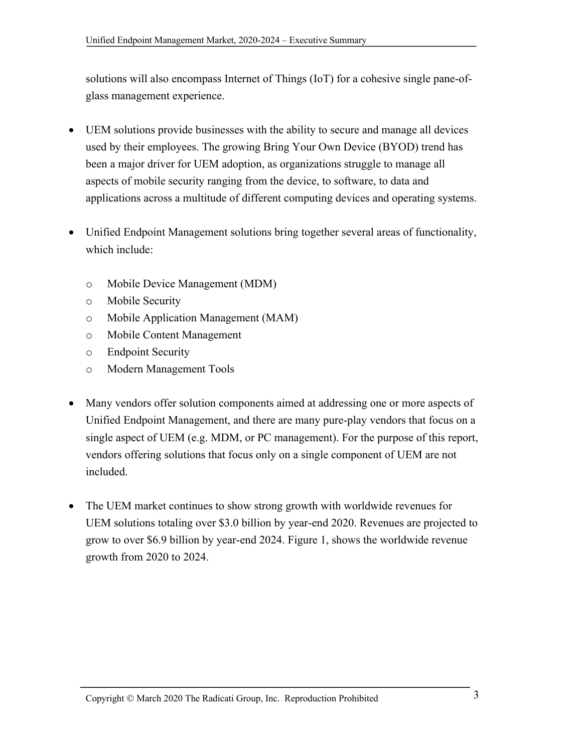solutions will also encompass Internet of Things (IoT) for a cohesive single pane-ofglass management experience.

- UEM solutions provide businesses with the ability to secure and manage all devices used by their employees. The growing Bring Your Own Device (BYOD) trend has been a major driver for UEM adoption, as organizations struggle to manage all aspects of mobile security ranging from the device, to software, to data and applications across a multitude of different computing devices and operating systems.
- Unified Endpoint Management solutions bring together several areas of functionality, which include:
	- o Mobile Device Management (MDM)
	- o Mobile Security
	- o Mobile Application Management (MAM)
	- o Mobile Content Management
	- o Endpoint Security
	- o Modern Management Tools
- Many vendors offer solution components aimed at addressing one or more aspects of Unified Endpoint Management, and there are many pure-play vendors that focus on a single aspect of UEM (e.g. MDM, or PC management). For the purpose of this report, vendors offering solutions that focus only on a single component of UEM are not included.
- The UEM market continues to show strong growth with worldwide revenues for UEM solutions totaling over \$3.0 billion by year-end 2020. Revenues are projected to grow to over \$6.9 billion by year-end 2024. Figure 1, shows the worldwide revenue growth from 2020 to 2024.